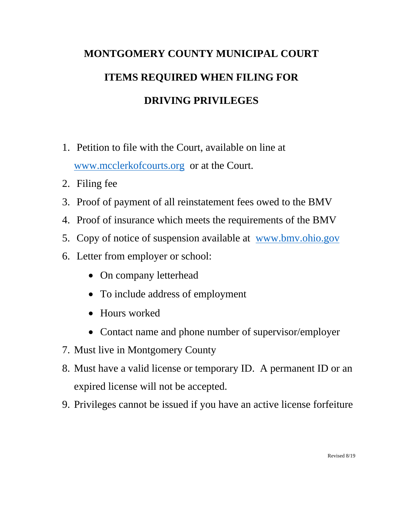## **MONTGOMERY COUNTY MUNICIPAL COURT ITEMS REQUIRED WHEN FILING FOR DRIVING PRIVILEGES**

- 1. Petition to file with the Court, available on line at www.mcclerkofcourts.org or at the Court.
- 2. Filing fee
- 3. Proof of payment of all reinstatement fees owed to the BMV
- 4. Proof of insurance which meets the requirements of the BMV
- 5. Copy of notice of suspension available at www.bmv.ohio.gov
- 6. Letter from employer or school:
	- On company letterhead
	- To include address of employment
	- Hours worked
	- Contact name and phone number of supervisor/employer
- 7. Must live in Montgomery County
- 8. Must have a valid license or temporary ID. A permanent ID or an expired license will not be accepted.
- 9. Privileges cannot be issued if you have an active license forfeiture